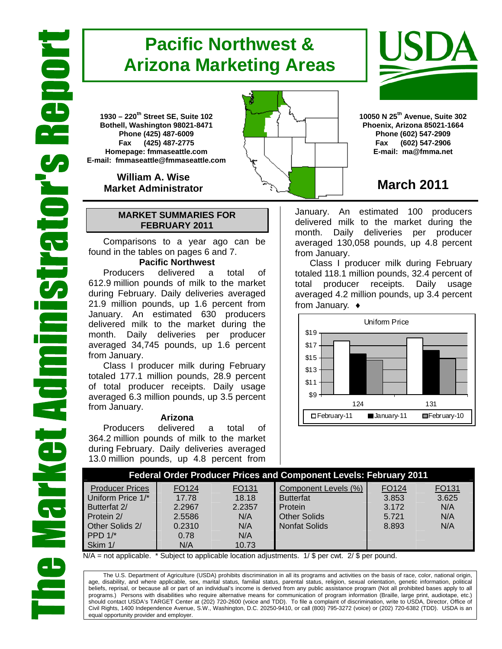# **Pacific Northwest & Arizona Marketing Areas**

**1930 – 220th Street SE, Suite 102 Bothell, Washington 98021-8471 Phone (425) 487-6009 Fax (425) 487-2775 Homepage: fmmaseattle.com E-mail: fmmaseattle@fmmaseattle.com**

> **William A. Wise Market Administrator**

### **MARKET SUMMARIES FOR FEBRUARY 2011**

 Comparisons to a year ago can be found in the tables on pages 6 and 7.

### **Pacific Northwest**

Producers delivered a total of 612.9 million pounds of milk to the market during February. Daily deliveries averaged 21.9 million pounds, up 1.6 percent from January. An estimated 630 producers delivered milk to the market during the month. Daily deliveries per producer averaged 34,745 pounds, up 1.6 percent from January.

Class I producer milk during February totaled 177.1 million pounds, 28.9 percent of total producer receipts. Daily usage averaged 6.3 million pounds, up 3.5 percent from January.

#### **Arizona**

Producers delivered a total of 364.2 million pounds of milk to the market during February. Daily deliveries averaged 13.0 million pounds, up 4.8 percent from



## **March 2011**

January. An estimated 100 producers delivered milk to the market during the month. Daily deliveries per producer averaged 130,058 pounds, up 4.8 percent from January.

Class I producer milk during February totaled 118.1 million pounds, 32.4 percent of total producer receipts. Daily usage averaged 4.2 million pounds, up 3.4 percent from January. ♦



| <b>Federal Order Producer Prices and Component Levels: February 2011</b> |        |        |                      |       |       |  |  |
|--------------------------------------------------------------------------|--------|--------|----------------------|-------|-------|--|--|
| <b>Producer Prices</b>                                                   | FO124  | FO131  | Component Levels (%) | FO124 | FO131 |  |  |
| Uniform Price 1/*                                                        | 17.78  | 18.18  | <b>Butterfat</b>     | 3.853 | 3.625 |  |  |
| Butterfat 2/                                                             | 2.2967 | 2.2357 | Protein              | 3.172 | N/A   |  |  |
| Protein 2/                                                               | 2.5586 | N/A    | <b>Other Solids</b>  | 5.721 | N/A   |  |  |
| Other Solids 2/                                                          | 0.2310 | N/A    | <b>Nonfat Solids</b> | 8.893 | N/A   |  |  |
| PPD $1$ <sup>*</sup>                                                     | 0.78   | N/A    |                      |       |       |  |  |
| Skim 1/                                                                  | N/A    | 10.73  |                      |       |       |  |  |

 $N/A$  = not applicable. \* Subject to applicable location adjustments. 1/ \$ per cwt. 2/ \$ per pound.

The U.S. Department of Agriculture (USDA) prohibits discrimination in all its programs and activities on the basis of race, color, national origin, age, disability, and where applicable, sex, marital status, familial status, parental status, religion, sexual orientation, genetic information, political beliefs, reprisal, or because all or part of an individual's income is derived from any public assistance program (Not all prohibited bases apply to all programs.) Persons with disabilities who require alternative means for communication of program information (Braille, large print, audiotape, etc.) should contact USDA's TARGET Center at (202) 720-2600 (voice and TDD). To file a complaint of discrimination, write to USDA, Director, Office of Civil Rights, 1400 Independence Avenue, S.W., Washington, D.C. 20250-9410, or call (800) 795-3272 (voice) or (202) 720-6382 (TDD). USDA is an equal opportunity provider and employer.

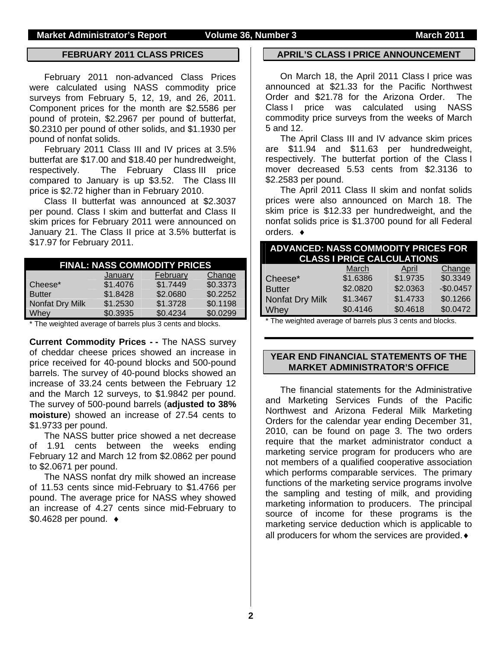### **FEBRUARY 2011 CLASS PRICES**

February 2011 non-advanced Class Prices were calculated using NASS commodity price surveys from February 5, 12, 19, and 26, 2011. Component prices for the month are \$2.5586 per pound of protein, \$2.2967 per pound of butterfat, \$0.2310 per pound of other solids, and \$1.1930 per pound of nonfat solids.

February 2011 Class III and IV prices at 3.5% butterfat are \$17.00 and \$18.40 per hundredweight, respectively. The February Class III price compared to January is up \$3.52. The Class III price is \$2.72 higher than in February 2010.

Class II butterfat was announced at \$2.3037 per pound. Class I skim and butterfat and Class II skim prices for February 2011 were announced on January 21. The Class II price at 3.5% butterfat is \$17.97 for February 2011.

|                 |          | <b>FINAL: NASS COMMODITY PRICES</b> |          |
|-----------------|----------|-------------------------------------|----------|
|                 | January  | February                            | Change   |
| Cheese*         | \$1.4076 | \$1.7449                            | \$0.3373 |
| <b>Butter</b>   | \$1.8428 | \$2.0680                            | \$0.2252 |
| Nonfat Dry Milk | \$1.2530 | \$1.3728                            | \$0.1198 |
| Whey            | \$0.3935 | \$0.4234                            | \$0.0299 |

\* The weighted average of barrels plus 3 cents and blocks.

**Current Commodity Prices - -** The NASS survey of cheddar cheese prices showed an increase in price received for 40-pound blocks and 500-pound barrels. The survey of 40-pound blocks showed an increase of 33.24 cents between the February 12 and the March 12 surveys, to \$1.9842 per pound. The survey of 500-pound barrels (**adjusted to 38% moisture**) showed an increase of 27.54 cents to \$1.9733 per pound.

The NASS butter price showed a net decrease of 1.91 cents between the weeks ending February 12 and March 12 from \$2.0862 per pound to \$2.0671 per pound.

The NASS nonfat dry milk showed an increase of 11.53 cents since mid-February to \$1.4766 per pound. The average price for NASS whey showed an increase of 4.27 cents since mid-February to \$0.4628 per pound. ♦

#### **APRIL'S CLASS I PRICE ANNOUNCEMENT**

On March 18, the April 2011 Class I price was announced at \$21.33 for the Pacific Northwest Order and \$21.78 for the Arizona Order. The Class I price was calculated using NASS commodity price surveys from the weeks of March 5 and 12.

The April Class III and IV advance skim prices are \$11.94 and \$11.63 per hundredweight, respectively. The butterfat portion of the Class I mover decreased 5.53 cents from \$2.3136 to \$2.2583 per pound.

The April 2011 Class II skim and nonfat solids prices were also announced on March 18. The skim price is \$12.33 per hundredweight, and the nonfat solids price is \$1.3700 pound for all Federal orders. ♦

|                        | <b>ADVANCED: NASS COMMODITY PRICES FOR</b><br><b>CLASS I PRICE CALCULATIONS</b> |          |            |  |  |  |
|------------------------|---------------------------------------------------------------------------------|----------|------------|--|--|--|
|                        | March                                                                           | April    | Change     |  |  |  |
| Cheese*                | \$1.6386                                                                        | \$1.9735 | \$0.3349   |  |  |  |
| <b>Butter</b>          | \$2.0820                                                                        | \$2.0363 | $-$0.0457$ |  |  |  |
| <b>Nonfat Dry Milk</b> | \$1.3467                                                                        | \$1.4733 | \$0.1266   |  |  |  |
| Whey                   | \$0.4146                                                                        | \$0.4618 | \$0.0472   |  |  |  |

\* The weighted average of barrels plus 3 cents and blocks.

### **YEAR END FINANCIAL STATEMENTS OF THE MARKET ADMINISTRATOR'S OFFICE**

The financial statements for the Administrative and Marketing Services Funds of the Pacific Northwest and Arizona Federal Milk Marketing Orders for the calendar year ending December 31, 2010, can be found on page 3. The two orders require that the market administrator conduct a marketing service program for producers who are not members of a qualified cooperative association which performs comparable services. The primary functions of the marketing service programs involve the sampling and testing of milk, and providing marketing information to producers. The principal source of income for these programs is the marketing service deduction which is applicable to all producers for whom the services are provided.♦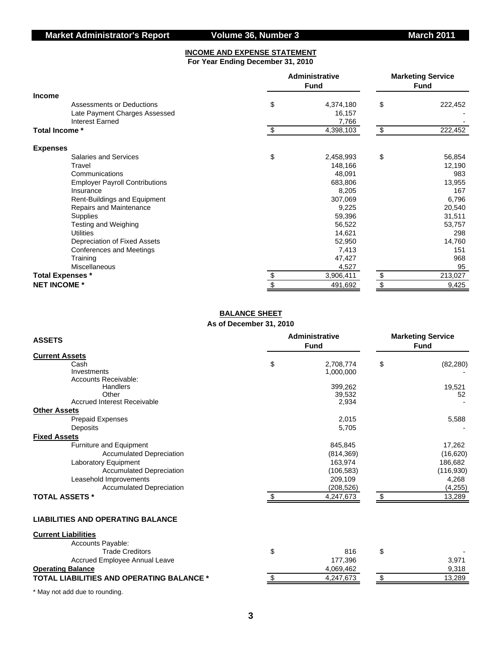#### **INCOME AND EXPENSE STATEMENT For Year Ending December 31, 2010**

|                         |                                       | Administrative<br><b>Fund</b> | <b>Marketing Service</b><br><b>Fund</b> |
|-------------------------|---------------------------------------|-------------------------------|-----------------------------------------|
| <b>Income</b>           |                                       |                               |                                         |
|                         | Assessments or Deductions             | \$<br>4,374,180               | \$<br>222,452                           |
|                         | Late Payment Charges Assessed         | 16,157                        |                                         |
| <b>Interest Earned</b>  |                                       | 7,766                         |                                         |
| Total Income *          |                                       | \$<br>4,398,103               | \$<br>222,452                           |
| <b>Expenses</b>         |                                       |                               |                                         |
|                         | <b>Salaries and Services</b>          | \$<br>2,458,993               | \$<br>56,854                            |
| Travel                  |                                       | 148,166                       | 12,190                                  |
| Communications          |                                       | 48,091                        | 983                                     |
|                         | <b>Employer Payroll Contributions</b> | 683,806                       | 13,955                                  |
| Insurance               |                                       | 8,205                         | 167                                     |
|                         | Rent-Buildings and Equipment          | 307,069                       | 6,796                                   |
|                         | Repairs and Maintenance               | 9,225                         | 20,540                                  |
| <b>Supplies</b>         |                                       | 59,396                        | 31,511                                  |
|                         | Testing and Weighing                  | 56,522                        | 53,757                                  |
| <b>Utilities</b>        |                                       | 14,621                        | 298                                     |
|                         | Depreciation of Fixed Assets          | 52,950                        | 14,760                                  |
|                         | Conferences and Meetings              | 7,413                         | 151                                     |
| Training                |                                       | 47,427                        | 968                                     |
| Miscellaneous           |                                       | 4,527                         | 95                                      |
| <b>Total Expenses *</b> |                                       | \$<br>3,906,411               | \$<br>213,027                           |
| <b>NET INCOME *</b>     |                                       | \$<br>491,692                 | \$<br>9,425                             |

#### **BALANCE SHEET As of December 31, 2010**

| <b>ASSETS</b>                             | <b>Administrative</b><br><b>Fund</b> |     | <b>Marketing Service</b><br><b>Fund</b> |
|-------------------------------------------|--------------------------------------|-----|-----------------------------------------|
| <b>Current Assets</b>                     |                                      |     |                                         |
| Cash                                      | \$<br>2,708,774                      | \$  | (82, 280)                               |
| Investments                               | 1,000,000                            |     |                                         |
| Accounts Receivable:                      |                                      |     |                                         |
| Handlers                                  | 399,262                              |     | 19,521                                  |
| Other                                     | 39,532                               |     | 52                                      |
| <b>Accrued Interest Receivable</b>        | 2,934                                |     |                                         |
| <b>Other Assets</b>                       |                                      |     |                                         |
| Prepaid Expenses                          | 2,015                                |     | 5,588                                   |
| Deposits                                  | 5,705                                |     |                                         |
| <b>Fixed Assets</b>                       |                                      |     |                                         |
| <b>Furniture and Equipment</b>            | 845,845                              |     | 17,262                                  |
| <b>Accumulated Depreciation</b>           | (814, 369)                           |     | (16, 620)                               |
| Laboratory Equipment                      | 163,974                              |     | 186,682                                 |
| <b>Accumulated Depreciation</b>           | (106, 583)                           |     | (116,930)                               |
| Leasehold Improvements                    | 209,109                              |     | 4,268                                   |
| <b>Accumulated Depreciation</b>           |                                      |     | (4, 255)                                |
|                                           | (208, 526)                           |     |                                         |
| <b>TOTAL ASSETS *</b>                     | 4,247,673                            | \$. | 13,289                                  |
| <b>LIABILITIES AND OPERATING BALANCE</b>  |                                      |     |                                         |
| <b>Current Liabilities</b>                |                                      |     |                                         |
| Accounts Payable:                         |                                      |     |                                         |
| <b>Trade Creditors</b>                    | \$<br>816                            | \$  |                                         |
| Accrued Employee Annual Leave             | 177,396                              |     | 3,971                                   |
| <b>Operating Balance</b>                  | 4,069,462                            |     | 9,318                                   |
| TOTAL LIABILITIES AND OPERATING BALANCE * | \$<br>4,247,673                      | \$  | 13,289                                  |

\* May not add due to rounding.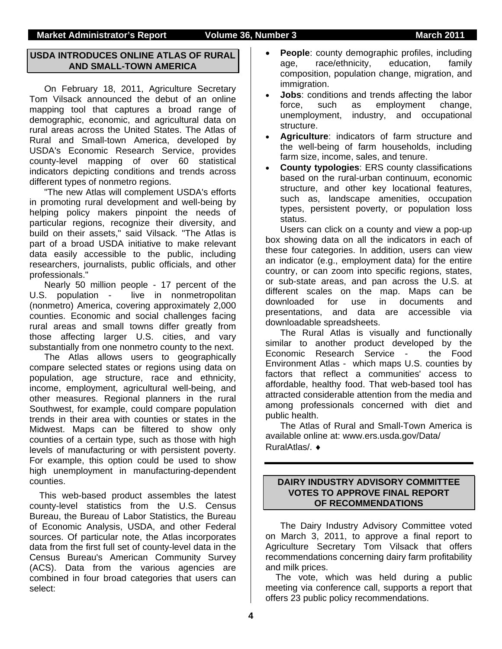### **USDA INTRODUCES ONLINE ATLAS OF RURAL AND SMALL-TOWN AMERICA**

On February 18, 2011, Agriculture Secretary Tom Vilsack announced the debut of an online mapping tool that captures a broad range of demographic, economic, and agricultural data on rural areas across the United States. The Atlas of Rural and Small-town America, developed by USDA's Economic Research Service, provides county-level mapping of over 60 statistical indicators depicting conditions and trends across different types of nonmetro regions.

"The new Atlas will complement USDA's efforts in promoting rural development and well-being by helping policy makers pinpoint the needs of particular regions, recognize their diversity, and build on their assets," said Vilsack. "The Atlas is part of a broad USDA initiative to make relevant data easily accessible to the public, including researchers, journalists, public officials, and other professionals."

Nearly 50 million people - 17 percent of the U.S. population - live in nonmetropolitan (nonmetro) America, covering approximately 2,000 counties. Economic and social challenges facing rural areas and small towns differ greatly from those affecting larger U.S. cities, and vary substantially from one nonmetro county to the next.

The Atlas allows users to geographically compare selected states or regions using data on population, age structure, race and ethnicity, income, employment, agricultural well-being, and other measures. Regional planners in the rural Southwest, for example, could compare population trends in their area with counties or states in the Midwest. Maps can be filtered to show only counties of a certain type, such as those with high levels of manufacturing or with persistent poverty. For example, this option could be used to show high unemployment in manufacturing-dependent counties.

This web-based product assembles the latest county-level statistics from the U.S. Census Bureau, the Bureau of Labor Statistics, the Bureau of Economic Analysis, USDA, and other Federal sources. Of particular note, the Atlas incorporates data from the first full set of county-level data in the Census Bureau's American Community Survey (ACS). Data from the various agencies are combined in four broad categories that users can select:

- **People:** county demographic profiles, including age, race/ethnicity, education, family composition, population change, migration, and immigration.
- **Jobs:** conditions and trends affecting the labor force, such as employment change, unemployment, industry, and occupational structure.
- **Agriculture**: indicators of farm structure and the well-being of farm households, including farm size, income, sales, and tenure.
- **County typologies**: ERS county classifications based on the rural-urban continuum, economic structure, and other key locational features, such as, landscape amenities, occupation types, persistent poverty, or population loss status.

Users can click on a county and view a pop-up box showing data on all the indicators in each of these four categories. In addition, users can view an indicator (e.g., employment data) for the entire country, or can zoom into specific regions, states, or sub-state areas, and pan across the U.S. at different scales on the map. Maps can be downloaded for use in documents and presentations, and data are accessible via downloadable spreadsheets.

The Rural Atlas is visually and functionally similar to another product developed by the Economic Research Service - the Food Environment Atlas - which maps U.S. counties by factors that reflect a communities' access to affordable, healthy food. That web-based tool has attracted considerable attention from the media and among professionals concerned with diet and public health.

The Atlas of Rural and Small-Town America is available online at: www.ers.usda.gov/Data/ RuralAtlas/. ♦

### **DAIRY INDUSTRY ADVISORY COMMITTEE VOTES TO APPROVE FINAL REPORT OF RECOMMENDATIONS**

 The Dairy Industry Advisory Committee voted on March 3, 2011, to approve a final report to Agriculture Secretary Tom Vilsack that offers recommendations concerning dairy farm profitability and milk prices.

The vote, which was held during a public meeting via conference call, supports a report that offers 23 public policy recommendations.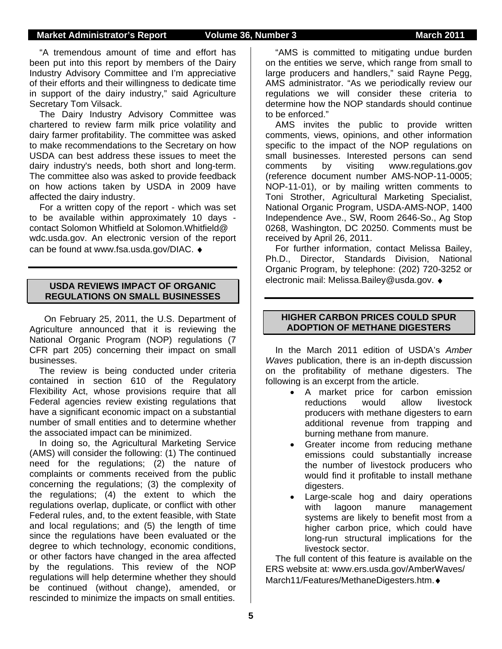"A tremendous amount of time and effort has been put into this report by members of the Dairy Industry Advisory Committee and I'm appreciative of their efforts and their willingness to dedicate time in support of the dairy industry," said Agriculture Secretary Tom Vilsack.

The Dairy Industry Advisory Committee was chartered to review farm milk price volatility and dairy farmer profitability. The committee was asked to make recommendations to the Secretary on how USDA can best address these issues to meet the dairy industry's needs, both short and long-term. The committee also was asked to provide feedback on how actions taken by USDA in 2009 have affected the dairy industry.

For a written copy of the report - which was set to be available within approximately 10 days contact Solomon Whitfield at Solomon.Whitfield@ wdc.usda.gov. An electronic version of the report can be found at www.fsa.usda.gov/DIAC. ♦

### **USDA REVIEWS IMPACT OF ORGANIC REGULATIONS ON SMALL BUSINESSES**

 On February 25, 2011, the U.S. Department of Agriculture announced that it is reviewing the National Organic Program (NOP) regulations (7 CFR part 205) concerning their impact on small businesses.

The review is being conducted under criteria contained in section 610 of the Regulatory Flexibility Act, whose provisions require that all Federal agencies review existing regulations that have a significant economic impact on a substantial number of small entities and to determine whether the associated impact can be minimized.

In doing so, the Agricultural Marketing Service (AMS) will consider the following: (1) The continued need for the regulations; (2) the nature of complaints or comments received from the public concerning the regulations; (3) the complexity of the regulations; (4) the extent to which the regulations overlap, duplicate, or conflict with other Federal rules, and, to the extent feasible, with State and local regulations; and (5) the length of time since the regulations have been evaluated or the degree to which technology, economic conditions, or other factors have changed in the area affected by the regulations. This review of the NOP regulations will help determine whether they should be continued (without change), amended, or rescinded to minimize the impacts on small entities.

"AMS is committed to mitigating undue burden on the entities we serve, which range from small to large producers and handlers," said Rayne Pegg, AMS administrator. "As we periodically review our regulations we will consider these criteria to determine how the NOP standards should continue to be enforced."

AMS invites the public to provide written comments, views, opinions, and other information specific to the impact of the NOP regulations on small businesses. Interested persons can send comments by visiting www.regulations.gov (reference document number AMS-NOP-11-0005; NOP-11-01), or by mailing written comments to Toni Strother, Agricultural Marketing Specialist, National Organic Program, USDA-AMS-NOP, 1400 Independence Ave., SW, Room 2646-So., Ag Stop 0268, Washington, DC 20250. Comments must be received by April 26, 2011.

For further information, contact Melissa Bailey, Ph.D., Director, Standards Division, National Organic Program, by telephone: (202) 720-3252 or electronic mail: Melissa.Bailey@usda.gov. ♦

### **HIGHER CARBON PRICES COULD SPUR ADOPTION OF METHANE DIGESTERS**

In the March 2011 edition of USDA's *Amber Waves* publication, there is an in-depth discussion on the profitability of methane digesters. The following is an excerpt from the article.

- A market price for carbon emission reductions would allow livestock producers with methane digesters to earn additional revenue from trapping and burning methane from manure.
- Greater income from reducing methane emissions could substantially increase the number of livestock producers who would find it profitable to install methane digesters.
- Large-scale hog and dairy operations with lagoon manure management systems are likely to benefit most from a higher carbon price, which could have long-run structural implications for the livestock sector.

The full content of this feature is available on the ERS website at: www.ers.usda.gov/AmberWaves/ March11/Features/MethaneDigesters.htm.♦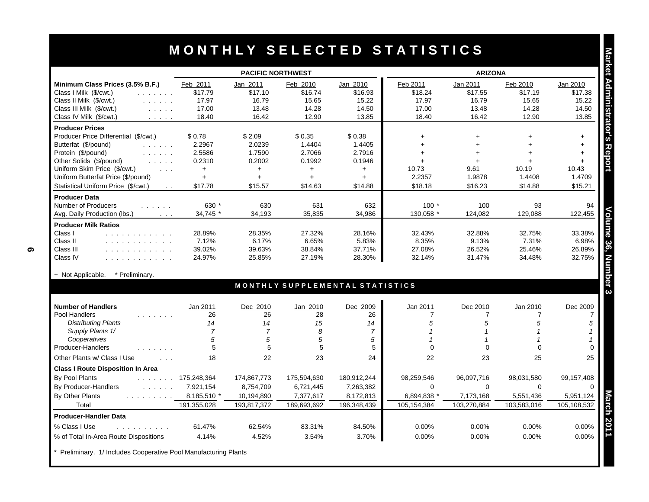|                                                                                                                            | <b>PACIFIC NORTHWEST</b> |                  |                                 |                 | <b>ARIZONA</b>  |                  |                 |                 |
|----------------------------------------------------------------------------------------------------------------------------|--------------------------|------------------|---------------------------------|-----------------|-----------------|------------------|-----------------|-----------------|
| Minimum Class Prices (3.5% B.F.)                                                                                           | Feb 2011                 | Jan 2011         | Feb 2010                        | Jan 2010        | Feb 2011        | Jan 2011         | Feb 2010        | Jan 2010        |
| Class I Milk (\$/cwt.)<br>and a strain and                                                                                 | \$17.79                  | \$17.10          | \$16.74                         | \$16.93         | \$18.24         | \$17.55          | \$17.19         | \$17.38         |
| Class II Milk (\$/cwt.)<br>and the state of                                                                                | 17.97                    | 16.79            | 15.65                           | 15.22           | 17.97           | 16.79            | 15.65           | 15.22           |
| Class III Milk (\$/cwt.)                                                                                                   | 17.00                    | 13.48            | 14.28                           | 14.50           | 17.00           | 13.48            | 14.28           | 14.50           |
| Class IV Milk (\$/cwt.)<br>$\mathcal{L}^{\mathcal{A}}$ , and $\mathcal{L}^{\mathcal{A}}$ , and $\mathcal{L}^{\mathcal{A}}$ | 18.40                    | 16.42            | 12.90                           | 13.85           | 18.40           | 16.42            | 12.90           | 13.85           |
| <b>Producer Prices</b>                                                                                                     |                          |                  |                                 |                 |                 |                  |                 |                 |
| Producer Price Differential (\$/cwt.)                                                                                      | \$0.78                   | \$2.09           | \$0.35                          | \$0.38          | $\ddot{}$       | $+$              | ÷               | $+$             |
| Butterfat (\$/pound)<br>and a state of                                                                                     | 2.2967                   | 2.0239           | 1.4404                          | 1.4405          | ÷.              | $+$              |                 | $+$             |
| Protein (\$/pound)                                                                                                         | 2.5586                   | 1.7590           | 2.7066                          | 2.7916          | $+$             | $+$              | $\ddot{}$       | $+$             |
| Other Solids (\$/pound)<br><b>Contractor</b>                                                                               | 0.2310                   | 0.2002           | 0.1992                          | 0.1946          | $+$             | $+$              | $+$             | $+$             |
| Uniform Skim Price (\$/cwt.)<br>$\cdot$ $\cdot$ $\cdot$                                                                    | $+$                      | $+$              | $+$                             | $+$             | 10.73           | 9.61             | 10.19           | 10.43           |
| Uniform Butterfat Price (\$/pound)                                                                                         | $+$                      | $\ddot{}$        | $+$                             | $+$             | 2.2357          | 1.9878           | 1.4408          | 1.4709          |
| Statistical Uniform Price (\$/cwt.)<br>$\sim 10$                                                                           | \$17.78                  | \$15.57          | \$14.63                         | \$14.88         | \$18.18         | \$16.23          | \$14.88         | \$15.21         |
| <b>Producer Data</b>                                                                                                       |                          |                  |                                 |                 |                 |                  |                 |                 |
| Number of Producers<br>.                                                                                                   | 630 *                    | 630              | 631                             | 632             | $100*$          | 100              | 93              | 94              |
| Avg. Daily Production (lbs.)<br>$\cdot$ $\cdot$ $\cdot$                                                                    | 34.745 *                 | 34.193           | 35.835                          | 34.986          | 130.058 *       | 124.082          | 129.088         | 122,455         |
| <b>Producer Milk Ratios</b>                                                                                                |                          |                  |                                 |                 |                 |                  |                 |                 |
| Class I<br>and a straightful and a straight                                                                                | 28.89%                   | 28.35%           | 27.32%                          | 28.16%          | 32.43%          | 32.88%           | 32.75%          | 33.38%          |
| Class II<br>.<br>Class III                                                                                                 | 7.12%<br>39.02%          | 6.17%            | 6.65%<br>38.84%                 | 5.83%<br>37.71% | 8.35%<br>27.08% | 9.13%            | 7.31%<br>25.46% | 6.98%<br>26.89% |
| .<br>Class IV<br>.                                                                                                         | 24.97%                   | 39.63%<br>25.85% | 27.19%                          | 28.30%          | 32.14%          | 26.52%<br>31.47% | 34.48%          | 32.75%          |
| + Not Applicable.<br>* Preliminary.                                                                                        |                          |                  |                                 |                 |                 |                  |                 |                 |
|                                                                                                                            |                          |                  | MONTHLY SUPPLEMENTAL STATISTICS |                 |                 |                  |                 |                 |
| <b>Number of Handlers</b>                                                                                                  | Jan 2011                 | Dec 2010         | Jan 2010                        | Dec 2009        | Jan 2011        | Dec 2010         | Jan 2010        | Dec 2009        |
| Pool Handlers<br>and a straight and                                                                                        | 26                       | 26               | 28                              | 26              | $\overline{7}$  | 7                | $\overline{7}$  |                 |
| <b>Distributing Plants</b>                                                                                                 | 14                       | 14               | 15                              | 14              | 5               | 5                | 5               |                 |
| Supply Plants 1/                                                                                                           | $\overline{7}$           | $\overline{7}$   | 8                               | $\overline{7}$  | $\overline{1}$  | $\mathbf{1}$     |                 |                 |
| Cooperatives                                                                                                               | 5                        | 5                | 5                               | 5               | $\mathbf 1$     | $\mathbf 1$      |                 |                 |
| Producer-Handlers                                                                                                          | 5                        | 5                | 5                               | 5               | $\Omega$        | $\Omega$         | $\Omega$        |                 |
| Other Plants w/ Class I Use<br>$\sim$ $\sim$ $\sim$                                                                        | 18                       | 22               | 23                              | 24              | 22              | 23               | 25              | 25              |
| <b>Class I Route Disposition In Area</b>                                                                                   |                          |                  |                                 |                 |                 |                  |                 |                 |
| <b>By Pool Plants</b>                                                                                                      | $\ldots$ 175,248,364     | 174,867,773      | 175,594,630                     | 180,912,244     | 98,259,546      | 96,097,716       | 98.031.580      | 99,157,408      |
| By Producer-Handlers                                                                                                       | 7,921,154                | 8,754,709        | 6,721,445                       | 7,263,382       | $\Omega$        | $\Omega$         | $\Omega$        |                 |
| By Other Plants<br>.                                                                                                       | 8,185,510 *              | 10,194,890       | 7,377,617                       | 8,172,813       | 6,894,838 *     | 7,173,168        | 5,551,436       | 5,951,124       |
| Total                                                                                                                      | 191,355,028              | 193,817,372      | 189,693,692                     | 196,348,439     | 105,154,384     | 103,270,884      | 103,583,016     | 105,108,532     |
| <b>Producer-Handler Data</b>                                                                                               |                          |                  |                                 |                 |                 |                  |                 |                 |
| % Class I Use<br>.                                                                                                         | 61.47%                   | 62.54%           | 83.31%                          | 84.50%          | 0.00%           | 0.00%            | 0.00%           | 0.00%           |
| % of Total In-Area Route Dispositions                                                                                      | 4.14%                    | 4.52%            | 3.54%                           | 3.70%           | 0.00%           | 0.00%            | 0.00%           | 0.00%           |
|                                                                                                                            |                          |                  |                                 |                 |                 |                  |                 |                 |

Preliminary. 1/ Includes Cooperative Pool Manufacturing Plants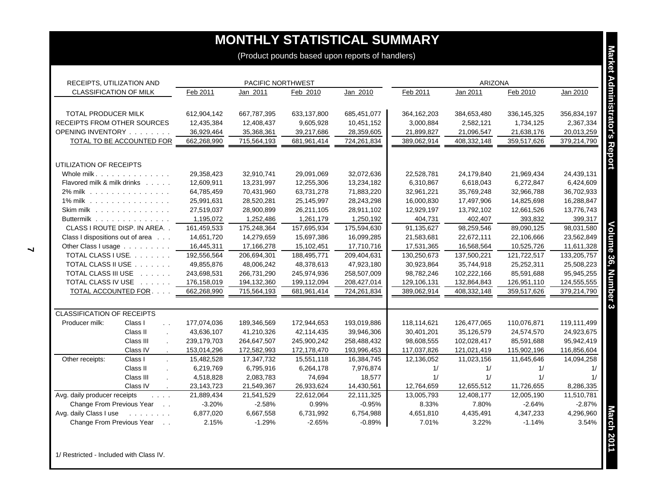| <b>CLASSIFICATION OF MILK</b><br>TOTAL PRODUCER MILK<br>RECEIPTS FROM OTHER SOURCES<br>OPENING INVENTORY<br><b>TOTAL TO BE ACCOUNTED FOR</b> | Feb 2011           | Jan 2011              |                       |                       |                    | <b>ARIZONA</b>     |                       |                    |
|----------------------------------------------------------------------------------------------------------------------------------------------|--------------------|-----------------------|-----------------------|-----------------------|--------------------|--------------------|-----------------------|--------------------|
|                                                                                                                                              |                    |                       | Feb 2010              | Jan 2010              | Feb 2011           | Jan 2011           | Feb 2010              | Jan 2010           |
|                                                                                                                                              | 612,904,142        | 667,787,395           | 633,137,800           | 685,451,077           | 364, 162, 203      | 384,653,480        | 336,145,325           | 356,834,197        |
|                                                                                                                                              | 12,435,384         | 12,408,437            | 9,605,928             | 10,451,152            | 3,000,884          | 2,582,121          | 1,734,125             | 2,367,334          |
|                                                                                                                                              | 36,929,464         | 35,368,361            | 39,217,686            | 28,359,605            | 21,899,827         | 21,096,547         | 21,638,176            | 20,013,259         |
|                                                                                                                                              | 662,268,990        | 715,564,193           | 681,961,414           | 724,261,834           | 389,062,914        | 408,332,148        | 359,517,626           | 379,214,790        |
| UTILIZATION OF RECEIPTS                                                                                                                      |                    |                       |                       |                       |                    |                    |                       |                    |
| Whole milk                                                                                                                                   | 29,358,423         | 32,910,741            | 29,091,069            | 32,072,636            | 22,528,781         | 24,179,840         | 21,969,434            | 24,439,131         |
| Flavored milk & milk drinks                                                                                                                  | 12,609,911         | 13,231,997            | 12,255,306            | 13,234,182            | 6,310,867          | 6,618,043          | 6,272,847             | 6,424,609          |
| 2% milk                                                                                                                                      | 64,785,459         | 70,431,960            | 63,731,278            | 71,883,220            | 32,961,221         | 35,769,248         | 32,966,788            | 36,702,933         |
| 1% milk                                                                                                                                      | 25,991,631         | 28,520,281            | 25,145,997            | 28,243,298            | 16,000,830         | 17,497,906         | 14,825,698            | 16,288,847         |
| Skim milk                                                                                                                                    | 27,519,037         | 28,900,899            | 26,211,105            | 28,911,102            | 12,929,197         | 13,792,102         | 12,661,526            | 13,776,743         |
| Buttermilk                                                                                                                                   | 1,195,072          | 1,252,486             | 1,261,179             | 1,250,192             | 404,731            | 402,407            | 393,832               | 399,317            |
| CLASS I ROUTE DISP. IN AREA                                                                                                                  | 161,459,533        | 175,248,364           | 157,695,934           | 175,594,630           | 91,135,627         | 98,259,546         | 89,090,125            | 98,031,580         |
| Class I dispositions out of area                                                                                                             | 14,651,720         | 14,279,659            | 15,697,386            | 16,099,285            | 21,583,681         | 22,672,111         | 22,106,666            | 23,562,849         |
| Other Class I usage                                                                                                                          | 16,445,311         | 17,166,278            | 15,102,451            | 17,710,716            | 17,531,365         | 16,568,564         | 10,525,726            | 11,611,328         |
| TOTAL CLASS I USE.                                                                                                                           | 192,556,564        | 206,694,301           | 188,495,771           | 209,404,631           | 130,250,673        | 137,500,221        | 121,722,517           | 133,205,757        |
| TOTAL CLASS II USE                                                                                                                           | 49,855,876         | 48,006,242            | 48,378,613            | 47,923,180            | 30,923,864         | 35,744,918         | 25,252,311            | 25,508,223         |
| TOTAL CLASS III USE                                                                                                                          | 243,698,531        | 266,731,290           | 245,974,936           | 258,507,009           | 98,782,246         | 102,222,166        | 85,591,688            | 95,945,255         |
| TOTAL CLASS IV USE                                                                                                                           | 176,158,019        | 194,132,360           | 199,112,094           | 208,427,014           | 129,106,131        | 132,864,843        | 126,951,110           | 124,555,555        |
| TOTAL ACCOUNTED FOR.                                                                                                                         | 662,268,990        | 715,564,193           | 681,961,414           | 724,261,834           | 389,062,914        | 408,332,148        | 359,517,626           | 379,214,790        |
| <b>CLASSIFICATION OF RECEIPTS</b>                                                                                                            |                    |                       |                       |                       |                    |                    |                       |                    |
| Class I<br>Producer milk:<br>$\sim$ $\sim$                                                                                                   | 177,074,036        | 189,346,569           | 172,944,653           | 193,019,886           | 118,114,621        | 126,477,065        | 110,076,871           | 119,111,499        |
| Class II<br>$\sim$                                                                                                                           | 43,636,107         | 41,210,326            | 42,114,435            | 39,946,306            | 30,401,201         | 35,126,579         | 24,574,570            | 24,923,675         |
| Class III                                                                                                                                    | 239,179,703        | 264,647,507           | 245,900,242           | 258,488,432           | 98,608,555         | 102,028,417        | 85,591,688            | 95,942,419         |
| Class IV<br>$\sim$                                                                                                                           | 153,014,296        | 172,582,993           | 172,178,470           | 193,996,453           | 117,037,826        | 121,021,419        | 115,902,196           | 116,856,604        |
| Other receipts:<br>Class I                                                                                                                   | 15,482,528         | 17,347,732            | 15,551,118            | 16,384,745            | 12,136,052         | 11,023,156         | 11,645,646            | 14,094,258         |
| Class II                                                                                                                                     | 6,219,769          | 6,795,916             | 6,264,178             | 7,976,874             | 1/                 | 1/                 | 1/                    | 1/                 |
| Class III<br>$\overline{a}$                                                                                                                  | 4,518,828          | 2,083,783             | 74,694                | 18,577                | 1/                 | 1/                 | 1/                    | 1/                 |
| Class IV                                                                                                                                     | 23,143,723         | 21,549,367            | 26,933,624            | 14,430,561            | 12,764,659         | 12,655,512         | 11,726,655            | 8,286,335          |
| Avg. daily producer receipts<br>$\mathbf{1}$ and $\mathbf{1}$                                                                                | 21,889,434         | 21,541,529            | 22,612,064            | 22,111,325            | 13,005,793         | 12,408,177         | 12,005,190            | 11.510.781         |
| Change From Previous Year                                                                                                                    | $-3.20%$           | $-2.58%$              | 0.99%                 | $-0.95%$              | 8.33%              | 7.80%              | $-2.64%$              | $-2.87%$           |
| Avg. daily Class I use<br><b>Contract Contract</b><br>Change From Previous Year                                                              | 6,877,020<br>2.15% | 6,667,558<br>$-1.29%$ | 6,731,992<br>$-2.65%$ | 6,754,988<br>$-0.89%$ | 4,651,810<br>7.01% | 4,435,491<br>3.22% | 4,347,233<br>$-1.14%$ | 4,296,960<br>3.54% |

1/ Restricted - Included with Class IV.